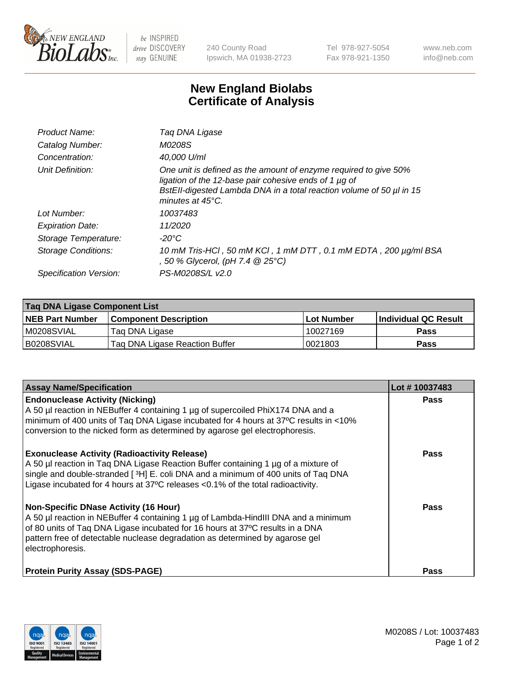

 $be$  INSPIRED drive DISCOVERY stay GENUINE

240 County Road Ipswich, MA 01938-2723 Tel 978-927-5054 Fax 978-921-1350 www.neb.com info@neb.com

## **New England Biolabs Certificate of Analysis**

| Product Name:              | Taq DNA Ligase                                                                                                                                                                                                                  |
|----------------------------|---------------------------------------------------------------------------------------------------------------------------------------------------------------------------------------------------------------------------------|
| Catalog Number:            | M0208S                                                                                                                                                                                                                          |
| Concentration:             | 40,000 U/ml                                                                                                                                                                                                                     |
| Unit Definition:           | One unit is defined as the amount of enzyme required to give 50%<br>ligation of the 12-base pair cohesive ends of 1 µg of<br>BstEll-digested Lambda DNA in a total reaction volume of 50 µl in 15<br>minutes at $45^{\circ}$ C. |
| Lot Number:                | 10037483                                                                                                                                                                                                                        |
| <b>Expiration Date:</b>    | 11/2020                                                                                                                                                                                                                         |
| Storage Temperature:       | $-20^{\circ}$ C                                                                                                                                                                                                                 |
| <b>Storage Conditions:</b> | 10 mM Tris-HCl, 50 mM KCl, 1 mM DTT, 0.1 mM EDTA, 200 µg/ml BSA<br>, 50 % Glycerol, (pH 7.4 $@25°C$ )                                                                                                                           |
| Specification Version:     | PS-M0208S/L v2.0                                                                                                                                                                                                                |

| Taq DNA Ligase Component List |                                |            |                      |  |
|-------------------------------|--------------------------------|------------|----------------------|--|
| <b>NEB Part Number</b>        | <b>Component Description</b>   | Lot Number | Individual QC Result |  |
| M0208SVIAL                    | Tag DNA Ligase                 | 10027169   | <b>Pass</b>          |  |
| B0208SVIAL                    | Taq DNA Ligase Reaction Buffer | 0021803    | Pass                 |  |

| <b>Assay Name/Specification</b>                                                                                                                                                                                                                                                                                         | Lot #10037483 |
|-------------------------------------------------------------------------------------------------------------------------------------------------------------------------------------------------------------------------------------------------------------------------------------------------------------------------|---------------|
| <b>Endonuclease Activity (Nicking)</b><br>A 50 µl reaction in NEBuffer 4 containing 1 µg of supercoiled PhiX174 DNA and a<br>minimum of 400 units of Taq DNA Ligase incubated for 4 hours at 37°C results in <10%<br>conversion to the nicked form as determined by agarose gel electrophoresis.                        | <b>Pass</b>   |
| <b>Exonuclease Activity (Radioactivity Release)</b><br>A 50 µl reaction in Taq DNA Ligase Reaction Buffer containing 1 µg of a mixture of<br>single and double-stranded [3H] E. coli DNA and a minimum of 400 units of Taq DNA<br>Ligase incubated for 4 hours at 37°C releases <0.1% of the total radioactivity.       | <b>Pass</b>   |
| <b>Non-Specific DNase Activity (16 Hour)</b><br>A 50 µl reaction in NEBuffer 4 containing 1 µg of Lambda-HindIII DNA and a minimum<br>of 80 units of Taq DNA Ligase incubated for 16 hours at 37°C results in a DNA<br>pattern free of detectable nuclease degradation as determined by agarose gel<br>electrophoresis. | <b>Pass</b>   |
| <b>Protein Purity Assay (SDS-PAGE)</b>                                                                                                                                                                                                                                                                                  | <b>Pass</b>   |